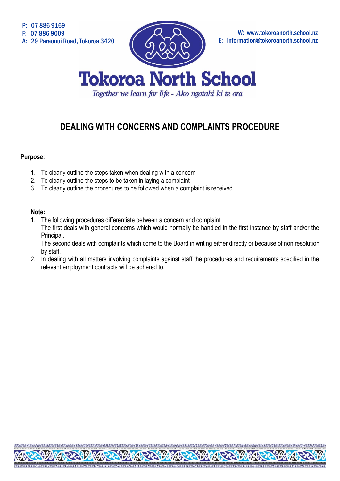

# **DEALING WITH CONCERNS AND COMPLAINTS PROCEDURE**

### **Purpose:**

- 1. To clearly outline the steps taken when dealing with a concern
- 2. To clearly outline the steps to be taken in laying a complaint
- 3. To clearly outline the procedures to be followed when a complaint is received

#### **Note:**

1. The following procedures differentiate between a concern and complaint The first deals with general concerns which would normally be handled in the first instance by staff and/or the Principal.

The second deals with complaints which come to the Board in writing either directly or because of non resolution by staff.

2. In dealing with all matters involving complaints against staff the procedures and requirements specified in the relevant employment contracts will be adhered to.

REAGANG PENGANG PENGANG PENGANGKAN PENGANGKEN GANG PENGANG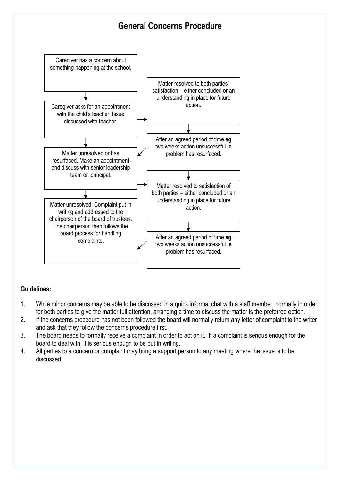

## **Guidelines:**

- 1. While minor concerns may be able to be discussed in a quick informal chat with a staff member, normally in order for both parties to give the matter full attention, arranging a time to discuss the matter is the preferred option.
- 2. If the concerns procedure has not been followed the board will normally return any letter of complaint to the writer and ask that they follow the concerns procedure first.
- 3. The board needs to formally receive a complaint in order to act on it. If a complaint is serious enough for the board to deal with, it is serious enough to be put in writing.
- 4. All parties to a concern or complaint may bring a support person to any meeting where the issue is to be discussed.